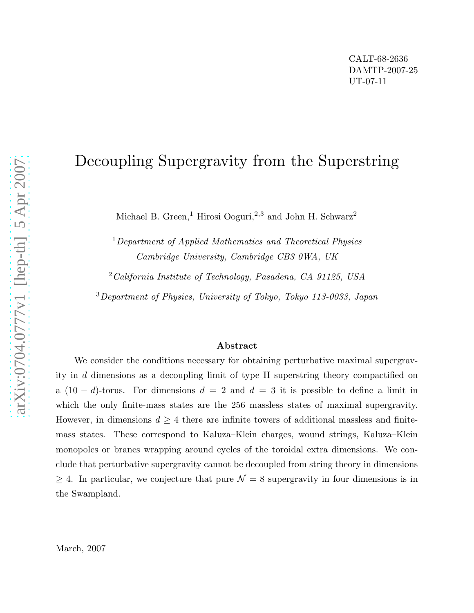## Decoupling Supergravity from the Superstring

Michael B. Green,<sup>1</sup> Hirosi Ooguri,<sup>2,3</sup> and John H. Schwarz<sup>2</sup>

<sup>1</sup>Department of Applied Mathematics and Theoretical Physics Cambridge University, Cambridge CB3 0WA, UK

 $2^\circ$ California Institute of Technology, Pasadena, CA 91125, USA

<sup>3</sup>Department of Physics, University of Tokyo, Tokyo 113-0033, Japan

## Abstract

We consider the conditions necessary for obtaining perturbative maximal supergravity in d dimensions as a decoupling limit of type II superstring theory compactified on a  $(10 - d)$ -torus. For dimensions  $d = 2$  and  $d = 3$  it is possible to define a limit in which the only finite-mass states are the 256 massless states of maximal supergravity. However, in dimensions  $d \geq 4$  there are infinite towers of additional massless and finitemass states. These correspond to Kaluza–Klein charges, wound strings, Kaluza–Klein monopoles or branes wrapping around cycles of the toroidal extra dimensions. We conclude that perturbative supergravity cannot be decoupled from string theory in dimensions  $\geq 4$ . In particular, we conjecture that pure  $\mathcal{N} = 8$  supergravity in four dimensions is in the Swampland.

March, 2007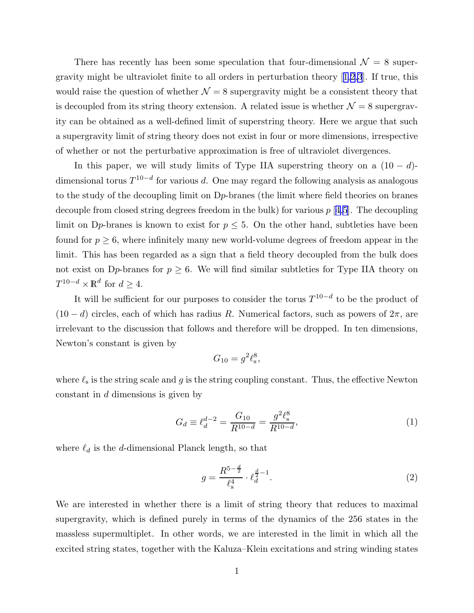<span id="page-1-0"></span>There has recently has been some speculation that four-dimensional  $\mathcal{N} = 8$  supergravity might be ultraviolet finite to all orders in perturbation theory[[1,2,3](#page-8-0)]. If true, this would raise the question of whether  $\mathcal{N} = 8$  supergravity might be a consistent theory that is decoupled from its string theory extension. A related issue is whether  $\mathcal{N} = 8$  supergravity can be obtained as a well-defined limit of superstring theory. Here we argue that such a supergravity limit of string theory does not exist in four or more dimensions, irrespective of whether or not the perturbative approximation is free of ultraviolet divergences.

In this paper, we will study limits of Type IIA superstring theory on a  $(10 - d)$ dimensional torus  $T^{10-d}$  for various d. One may regard the following analysis as analogous to the study of the decoupling limit on Dp-branes (the limit where field theories on branes decouple from closed string degrees freedom in the bulk) for various  $p \mid 4,5$  $p \mid 4,5$ . The decoupling limit on D<sub>p</sub>-branes is known to exist for  $p \leq 5$ . On the other hand, subtleties have been found for  $p \geq 6$ , where infinitely many new world-volume degrees of freedom appear in the limit. This has been regarded as a sign that a field theory decoupled from the bulk does not exist on D<sub>p</sub>-branes for  $p \geq 6$ . We will find similar subtleties for Type IIA theory on  $T^{10-d} \times \mathbb{R}^d$  for  $d \geq 4$ .

It will be sufficient for our purposes to consider the torus  $T^{10-d}$  to be the product of  $(10 - d)$  circles, each of which has radius R. Numerical factors, such as powers of  $2\pi$ , are irrelevant to the discussion that follows and therefore will be dropped. In ten dimensions, Newton's constant is given by

$$
G_{10} = g^2 \ell_{\rm s}^8,
$$

where  $\ell_s$  is the string scale and g is the string coupling constant. Thus, the effective Newton constant in d dimensions is given by

$$
G_d \equiv \ell_d^{d-2} = \frac{G_{10}}{R^{10-d}} = \frac{g^2 \ell_s^8}{R^{10-d}},\tag{1}
$$

where  $\ell_d$  is the d-dimensional Planck length, so that

$$
g = \frac{R^{5 - \frac{d}{2}}}{\ell_s^4} \cdot \ell_d^{\frac{d}{2} - 1}.
$$
 (2)

We are interested in whether there is a limit of string theory that reduces to maximal supergravity, which is defined purely in terms of the dynamics of the 256 states in the massless supermultiplet. In other words, we are interested in the limit in which all the excited string states, together with the Kaluza–Klein excitations and string winding states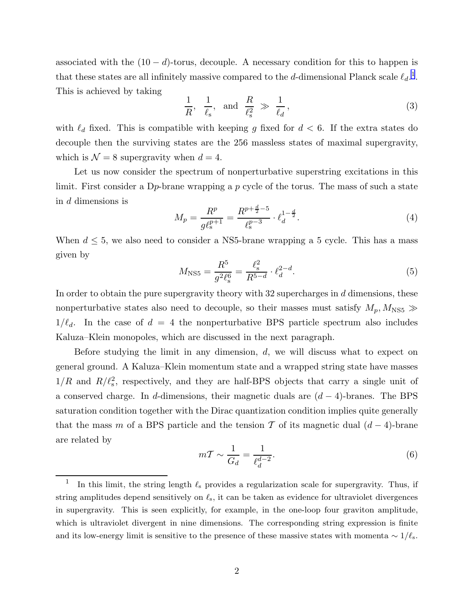<span id="page-2-0"></span>associated with the  $(10 - d)$ -torus, decouple. A necessary condition for this to happen is that these states are all infinitely massive compared to the d-dimensional Planck scale  $\ell_d$ <sup>1</sup>. This is achieved by taking

$$
\frac{1}{R}, \quad \frac{1}{\ell_s}, \quad \text{and} \quad \frac{R}{\ell_s^2} \gg \frac{1}{\ell_d}, \tag{3}
$$

with  $\ell_d$  fixed. This is compatible with keeping g fixed for  $d < 6$ . If the extra states do decouple then the surviving states are the 256 massless states of maximal supergravity, which is  $\mathcal{N} = 8$  supergravity when  $d = 4$ .

Let us now consider the spectrum of nonperturbative superstring excitations in this limit. First consider a D<sub>p</sub>-brane wrapping a p cycle of the torus. The mass of such a state in d dimensions is

$$
M_p = \frac{R^p}{g\ell_s^{p+1}} = \frac{R^{p+\frac{d}{2}-5}}{\ell_s^{p-3}} \cdot \ell_d^{1-\frac{d}{2}}.
$$
 (4)

When  $d \leq 5$ , we also need to consider a NS5-brane wrapping a 5 cycle. This has a mass given by

$$
M_{\rm NS5} = \frac{R^5}{g^2 \ell_{\rm s}^6} = \frac{\ell_{\rm s}^2}{R^{5-d}} \cdot \ell_d^{2-d}.\tag{5}
$$

In order to obtain the pure supergravity theory with  $32$  supercharges in  $d$  dimensions, these nonperturbative states also need to decouple, so their masses must satisfy  $M_p, M_{\text{NS5}} \gg$  $1/\ell_d$ . In the case of  $d = 4$  the nonperturbative BPS particle spectrum also includes Kaluza–Klein monopoles, which are discussed in the next paragraph.

Before studying the limit in any dimension,  $d$ , we will discuss what to expect on general ground. A Kaluza–Klein momentum state and a wrapped string state have masses  $1/R$  and  $R/\ell_s^2$ , respectively, and they are half-BPS objects that carry a single unit of a conserved charge. In d-dimensions, their magnetic duals are  $(d-4)$ -branes. The BPS saturation condition together with the Dirac quantization condition implies quite generally that the mass m of a BPS particle and the tension T of its magnetic dual  $(d-4)$ -brane are related by

$$
m\mathcal{T} \sim \frac{1}{G_d} = \frac{1}{\ell_d^{d-2}}.\tag{6}
$$

<sup>1</sup> In this limit, the string length  $\ell_s$  provides a regularization scale for supergravity. Thus, if string amplitudes depend sensitively on  $\ell_s$ , it can be taken as evidence for ultraviolet divergences in supergravity. This is seen explicitly, for example, in the one-loop four graviton amplitude, which is ultraviolet divergent in nine dimensions. The corresponding string expression is finite and its low-energy limit is sensitive to the presence of these massive states with momenta  $\sim 1/\ell_s$ .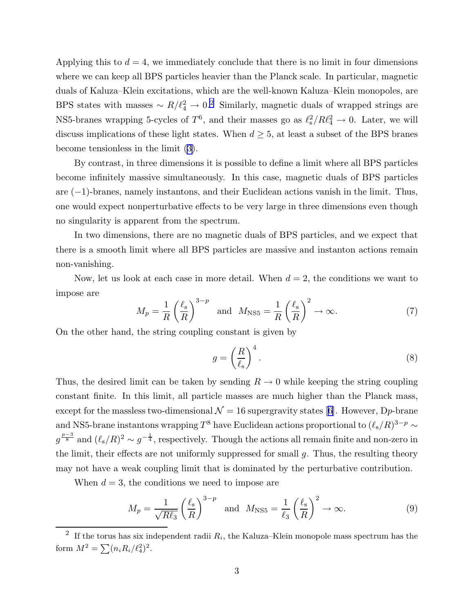<span id="page-3-0"></span>Applying this to  $d = 4$ , we immediately conclude that there is no limit in four dimensions where we can keep all BPS particles heavier than the Planck scale. In particular, magnetic duals of Kaluza–Klein excitations, which are the well-known Kaluza–Klein monopoles, are BPS states with masses  $\sim R/\ell_4^2 \to 0.2$  Similarly, magnetic duals of wrapped strings are NS5-branes wrapping 5-cycles of  $T^6$ , and their masses go as  $\ell_s^2/R\ell_4^2 \to 0$ . Later, we will discuss implications of these light states. When  $d \geq 5$ , at least a subset of the BPS branes become tensionless in the limit ([3\)](#page-2-0).

By contrast, in three dimensions it is possible to define a limit where all BPS particles become infinitely massive simultaneously. In this case, magnetic duals of BPS particles are (−1)-branes, namely instantons, and their Euclidean actions vanish in the limit. Thus, one would expect nonperturbative effects to be very large in three dimensions even though no singularity is apparent from the spectrum.

In two dimensions, there are no magnetic duals of BPS particles, and we expect that there is a smooth limit where all BPS particles are massive and instanton actions remain non-vanishing.

Now, let us look at each case in more detail. When  $d = 2$ , the conditions we want to impose are

$$
M_p = \frac{1}{R} \left(\frac{\ell_s}{R}\right)^{3-p} \quad \text{and} \quad M_{\text{NS5}} = \frac{1}{R} \left(\frac{\ell_s}{R}\right)^2 \to \infty. \tag{7}
$$

On the other hand, the string coupling constant is given by

$$
g = \left(\frac{R}{\ell_s}\right)^4.
$$
 (8)

Thus, the desired limit can be taken by sending  $R \to 0$  while keeping the string coupling constant finite. In this limit, all particle masses are much higher than the Planck mass, exceptfor the massless two-dimensional  $\mathcal{N} = 16$  supergravity states [[6\]](#page-8-0). However, Dp-brane and NS5-brane instantons wrapping  $T^8$  have Euclidean actions proportional to  $(\ell_s/R)^{3-p} \sim$  $g^{\frac{p-3}{8}}$  and  $(\ell_{s}/R)^{2} \sim g^{-\frac{1}{4}}$ , respectively. Though the actions all remain finite and non-zero in the limit, their effects are not uniformly suppressed for small  $q$ . Thus, the resulting theory may not have a weak coupling limit that is dominated by the perturbative contribution.

When  $d = 3$ , the conditions we need to impose are

$$
M_p = \frac{1}{\sqrt{R\ell_3}} \left(\frac{\ell_s}{R}\right)^{3-p} \quad \text{and} \quad M_{\text{NS5}} = \frac{1}{\ell_3} \left(\frac{\ell_s}{R}\right)^2 \to \infty. \tag{9}
$$

<sup>2</sup> If the torus has six independent radii  $R_i$ , the Kaluza–Klein monopole mass spectrum has the form  $M^2 = \sum (n_i R_i / \ell_4^2)^2$ .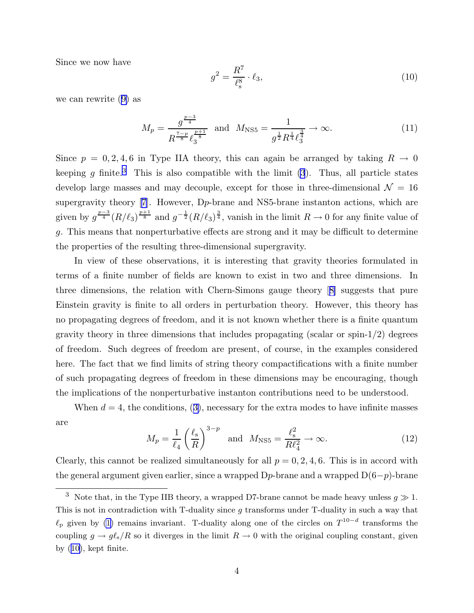Since we now have

$$
g^2 = \frac{R^7}{\ell_s^8} \cdot \ell_3,\tag{10}
$$

we can rewrite ([9\)](#page-3-0) as

$$
M_p = \frac{g^{\frac{p-3}{4}}}{R^{\frac{7-p}{8}} \ell_3^{\frac{p+1}{8}}} \text{ and } M_{\text{NS5}} = \frac{1}{g^{\frac{1}{2}} R^{\frac{1}{4}} \ell_3^{\frac{3}{4}}} \to \infty.
$$
 (11)

Since  $p = 0, 2, 4, 6$  in Type IIA theory, this can again be arranged by taking  $R \rightarrow 0$ keeping g finite.<sup>3</sup> This is also compatible with the limit  $(3)$  $(3)$ . Thus, all particle states develop large masses and may decouple, except for those in three-dimensional  $\mathcal{N} = 16$ supergravitytheory [[7](#page-8-0)]. However, D<sub>p</sub>-brane and NS5-brane instanton actions, which are given by  $g^{\frac{p-3}{4}}(R/\ell_3)^{\frac{p+1}{8}}$  and  $g^{-\frac{1}{2}}(R/\ell_3)^{\frac{3}{4}}$ , vanish in the limit  $R\to 0$  for any finite value of g. This means that nonperturbative effects are strong and it may be difficult to determine the properties of the resulting three-dimensional supergravity.

In view of these observations, it is interesting that gravity theories formulated in terms of a finite number of fields are known to exist in two and three dimensions. In three dimensions, the relation with Chern-Simons gauge theory[[8\]](#page-8-0) suggests that pure Einstein gravity is finite to all orders in perturbation theory. However, this theory has no propagating degrees of freedom, and it is not known whether there is a finite quantum gravity theory in three dimensions that includes propagating (scalar or spin- $1/2$ ) degrees of freedom. Such degrees of freedom are present, of course, in the examples considered here. The fact that we find limits of string theory compactifications with a finite number of such propagating degrees of freedom in these dimensions may be encouraging, though the implications of the nonperturbative instanton contributions need to be understood.

When  $d = 4$ , the conditions, ([3\)](#page-2-0), necessary for the extra modes to have infinite masses are

$$
M_p = \frac{1}{\ell_4} \left(\frac{\ell_s}{R}\right)^{3-p} \quad \text{and} \quad M_{\text{NS5}} = \frac{\ell_s^2}{R\ell_4^2} \to \infty. \tag{12}
$$

Clearly, this cannot be realized simultaneously for all  $p = 0, 2, 4, 6$ . This is in accord with the general argument given earlier, since a wrapped  $Dp$ -brane and a wrapped  $D(6-p)$ -brane

<sup>&</sup>lt;sup>3</sup> Note that, in the Type IIB theory, a wrapped D7-brane cannot be made heavy unless  $g \gg 1$ . This is not in contradiction with T-duality since  $q$  transforms under T-duality in such a way that  $\ell_p$  given by [\(1\)](#page-1-0) remains invariant. T-duality along one of the circles on  $T^{10-d}$  transforms the coupling  $g \to g \ell_s/R$  so it diverges in the limit  $R \to 0$  with the original coupling constant, given by (10), kept finite.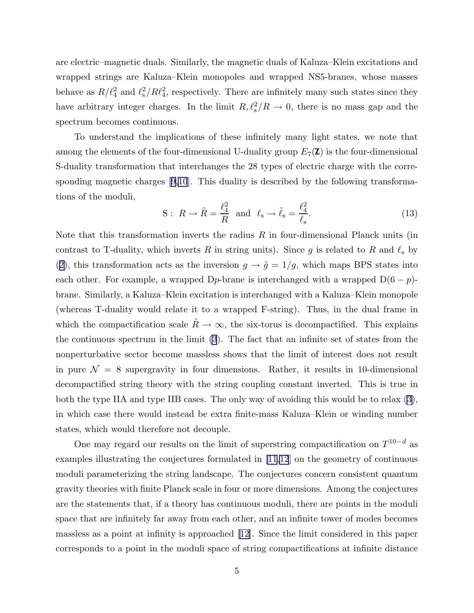<span id="page-5-0"></span>are electric–magnetic duals. Similarly, the magnetic duals of Kaluza–Klein excitations and wrapped strings are Kaluza–Klein monopoles and wrapped NS5-branes, whose masses behave as  $R/\ell_4^2$  and  $\ell_{\rm s}^2/R\ell_4^2$ , respectively. There are infinitely many such states since they have arbitrary integer charges. In the limit  $R, \ell_{\rm s}^2/R \to 0$ , there is no mass gap and the spectrum becomes continuous.

To understand the implications of these infinitely many light states, we note that among the elements of the four-dimensional U-duality group  $E_7(\mathbb{Z})$  is the four-dimensional S-duality transformation that interchanges the 28 types of electric charge with the corresponding magnetic charges [\[9,10](#page-8-0)]. This duality is described by the following transformations of the moduli,

$$
S: R \to \tilde{R} = \frac{\ell_4^2}{R} \text{ and } \ell_s \to \tilde{\ell}_s = \frac{\ell_4^2}{\ell_s}.
$$
 (13)

Note that this transformation inverts the radius  $R$  in four-dimensional Planck units (in contrast to T-duality, which inverts R in string units). Since g is related to R and  $\ell_s$  by ([2\)](#page-1-0), this transformation acts as the inversion  $g \to \tilde{g} = 1/g$ , which maps BPS states into each other. For example, a wrapped D<sub>p</sub>-brane is interchanged with a wrapped  $D(6 - p)$ brane. Similarly, a Kaluza–Klein excitation is interchanged with a Kaluza–Klein monopole (whereas T-duality would relate it to a wrapped F-string). Thus, in the dual frame in which the compactification scale  $\tilde{R} \to \infty$ , the six-torus is decompactified. This explains the continuous spectrum in the limit [\(3](#page-2-0)). The fact that an infinite set of states from the nonperturbative sector become massless shows that the limit of interest does not result in pure  $\mathcal{N} = 8$  supergravity in four dimensions. Rather, it results in 10-dimensional decompactified string theory with the string coupling constant inverted. This is true in both the type IIA and type IIB cases. The only way of avoiding this would be to relax [\(3](#page-2-0)), in which case there would instead be extra finite-mass Kaluza–Klein or winding number states, which would therefore not decouple.

One may regard our results on the limit of superstring compactification on  $T^{10-d}$  as examples illustrating the conjectures formulated in [\[11,12](#page-8-0)] on the geometry of continuous moduli parameterizing the string landscape. The conjectures concern consistent quantum gravity theories with finite Planck scale in four or more dimensions. Among the conjectures are the statements that, if a theory has continuous moduli, there are points in the moduli space that are infinitely far away from each other, and an infinite tower of modes becomes massless as a point at infinity is approached [\[12](#page-8-0)]. Since the limit considered in this paper corresponds to a point in the moduli space of string compactifications at infinite distance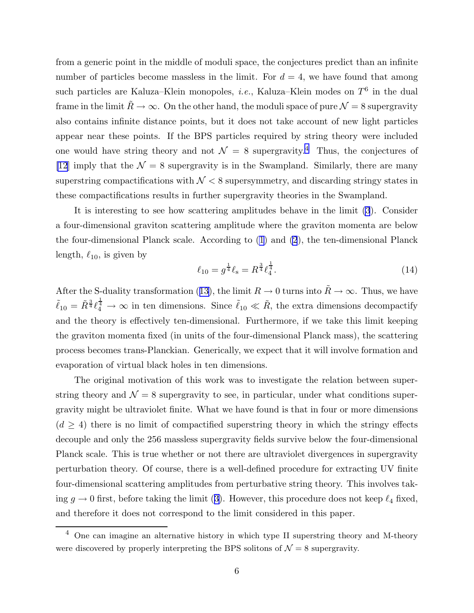from a generic point in the middle of moduli space, the conjectures predict than an infinite number of particles become massless in the limit. For  $d = 4$ , we have found that among such particles are Kaluza–Klein monopoles, *i.e.*, Kaluza–Klein modes on  $T^6$  in the dual frame in the limit  $\tilde{R} \to \infty$ . On the other hand, the moduli space of pure  $\mathcal{N} = 8$  supergravity also contains infinite distance points, but it does not take account of new light particles appear near these points. If the BPS particles required by string theory were included one would have string theory and not  $\mathcal{N} = 8$  supergravity.<sup>4</sup> Thus, the conjectures of [\[12](#page-8-0)] imply that the  $\mathcal{N} = 8$  supergravity is in the Swampland. Similarly, there are many superstring compactifications with  $\mathcal{N} < 8$  supersymmetry, and discarding stringy states in these compactifications results in further supergravity theories in the Swampland.

It is interesting to see how scattering amplitudes behave in the limit [\(3](#page-2-0)). Consider a four-dimensional graviton scattering amplitude where the graviton momenta are below the four-dimensional Planck scale. According to [\(1](#page-1-0)) and [\(2](#page-1-0)), the ten-dimensional Planck length,  $\ell_{10}$ , is given by

$$
\ell_{10} = g^{\frac{1}{4}} \ell_{\rm s} = R^{\frac{3}{4}} \ell_{4}^{\frac{1}{4}}.
$$
\n(14)

After the S-duality transformation ([13\)](#page-5-0), the limit  $R \to 0$  turns into  $\tilde{R} \to \infty$ . Thus, we have  $\tilde{\ell}_{10} = \tilde{R}^{\frac{3}{4}} \ell_4^{\frac{1}{4}} \to \infty$  in ten dimensions. Since  $\tilde{\ell}_{10} \ll \tilde{R}$ , the extra dimensions decompactify and the theory is effectively ten-dimensional. Furthermore, if we take this limit keeping the graviton momenta fixed (in units of the four-dimensional Planck mass), the scattering process becomes trans-Planckian. Generically, we expect that it will involve formation and evaporation of virtual black holes in ten dimensions.

The original motivation of this work was to investigate the relation between superstring theory and  $\mathcal{N} = 8$  supergravity to see, in particular, under what conditions supergravity might be ultraviolet finite. What we have found is that in four or more dimensions  $(d \geq 4)$  there is no limit of compactified superstring theory in which the stringy effects decouple and only the 256 massless supergravity fields survive below the four-dimensional Planck scale. This is true whether or not there are ultraviolet divergences in supergravity perturbation theory. Of course, there is a well-defined procedure for extracting UV finite four-dimensional scattering amplitudes from perturbative string theory. This involves taking  $q \to 0$  first, before taking the limit ([3\)](#page-2-0). However, this procedure does not keep  $\ell_4$  fixed, and therefore it does not correspond to the limit considered in this paper.

 $4$  One can imagine an alternative history in which type II superstring theory and M-theory were discovered by properly interpreting the BPS solitons of  $\mathcal{N}=8$  supergravity.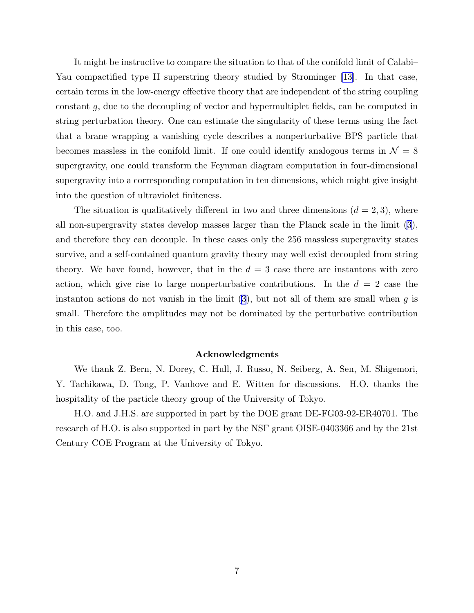It might be instructive to compare the situation to that of the conifold limit of Calabi– Yau compactified type II superstring theory studied by Strominger [\[13](#page-8-0)]. In that case, certain terms in the low-energy effective theory that are independent of the string coupling constant g, due to the decoupling of vector and hypermultiplet fields, can be computed in string perturbation theory. One can estimate the singularity of these terms using the fact that a brane wrapping a vanishing cycle describes a nonperturbative BPS particle that becomes massless in the conifold limit. If one could identify analogous terms in  $\mathcal{N} = 8$ supergravity, one could transform the Feynman diagram computation in four-dimensional supergravity into a corresponding computation in ten dimensions, which might give insight into the question of ultraviolet finiteness.

The situation is qualitatively different in two and three dimensions  $(d = 2, 3)$ , where all non-supergravity states develop masses larger than the Planck scale in the limit [\(3](#page-2-0)), and therefore they can decouple. In these cases only the 256 massless supergravity states survive, and a self-contained quantum gravity theory may well exist decoupled from string theory. We have found, however, that in the  $d = 3$  case there are instantons with zero action, which give rise to large nonperturbative contributions. In the  $d = 2$  case the instanton actions do not vanish in the limit  $(3)$  $(3)$ , but not all of them are small when g is small. Therefore the amplitudes may not be dominated by the perturbative contribution in this case, too.

## Acknowledgments

We thank Z. Bern, N. Dorey, C. Hull, J. Russo, N. Seiberg, A. Sen, M. Shigemori, Y. Tachikawa, D. Tong, P. Vanhove and E. Witten for discussions. H.O. thanks the hospitality of the particle theory group of the University of Tokyo.

H.O. and J.H.S. are supported in part by the DOE grant DE-FG03-92-ER40701. The research of H.O. is also supported in part by the NSF grant OISE-0403366 and by the 21st Century COE Program at the University of Tokyo.